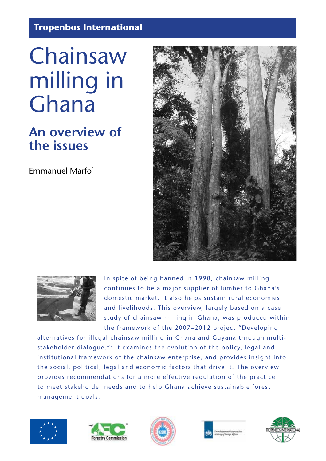**Tropenbos International**

# Chainsaw milling in Ghana

# **An overview of the issues**

Emmanuel Marfo $1$ 





In spite of being banned in 1998, chainsaw milling continues to be a major supplier of lumber to Ghana's domestic market. It also helps sustain rural economies and livelihoods. This overview, largely based on a case study of chainsaw milling in Ghana, was produced within the framework of the 2007–2012 project "Developing

alternatives for illegal chainsaw milling in Ghana and Guyana through multistakeholder dialogue."<sup>2</sup> It examines the evolution of the policy, legal and institutional framework of the chainsaw enterprise, and provides insight into the social, political, legal and economic factors that drive it. The overview provides recommendations for a more effective regulation of the practice to meet stakeholder needs and to help Ghana achieve sustainable forest management goals.









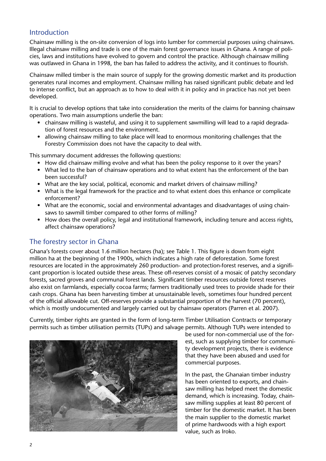## Introduction

Chainsaw milling is the on-site conversion of logs into lumber for commercial purposes using chainsaws. Illegal chainsaw milling and trade is one of the main forest governance issues in Ghana. A range of policies, laws and institutions have evolved to govern and control the practice. Although chainsaw milling was outlawed in Ghana in 1998, the ban has failed to address the activity, and it continues to flourish.

Chainsaw milled timber is the main source of supply for the growing domestic market and its production generates rural incomes and employment. Chainsaw milling has raised significant public debate and led to intense conflict, but an approach as to how to deal with it in policy and in practice has not yet been developed.

It is crucial to develop options that take into consideration the merits of the claims for banning chainsaw operations. Two main assumptions underlie the ban:

- chainsaw milling is wasteful, and using it to supplement sawmilling will lead to a rapid degradation of forest resources and the environment.
- allowing chainsaw milling to take place will lead to enormous monitoring challenges that the Forestry Commission does not have the capacity to deal with.

This summary document addresses the following questions:

- How did chainsaw milling evolve and what has been the policy response to it over the years?
- What led to the ban of chainsaw operations and to what extent has the enforcement of the ban been successful?
- What are the key social, political, economic and market drivers of chainsaw milling?
- What is the legal framework for the practice and to what extent does this enhance or complicate enforcement?
- What are the economic, social and environmental advantages and disadvantages of using chainsaws to sawmill timber compared to other forms of milling?
- How does the overall policy, legal and institutional framework, including tenure and access rights, affect chainsaw operations?

# The forestry sector in Ghana

Ghana's forests cover about 1.6 million hectares (ha); see Table 1. This figure is down from eight million ha at the beginning of the 1900s, which indicates a high rate of deforestation. Some forest resources are located in the approximately 260 production- and protection-forest reserves, and a significant proportion is located outside these areas. These off-reserves consist of a mosaic of patchy secondary forests, sacred groves and communal forest lands. Significant timber resources outside forest reserves also exist on farmlands, especially cocoa farms; farmers traditionally used trees to provide shade for their cash crops. Ghana has been harvesting timber at unsustainable levels, sometimes four hundred percent of the official allowable cut. Off-reserves provide a substantial proportion of the harvest (70 percent), which is mostly undocumented and largely carried out by chainsaw operators (Parren et al. 2007).

Currently, timber rights are granted in the form of long-term Timber Utilisation Contracts or temporary permits such as timber utilisation permits (TUPs) and salvage permits. Although TUPs were intended to



be used for non-commercial use of the forest, such as supplying timber for community development projects, there is evidence that they have been abused and used for commercial purposes.

In the past, the Ghanaian timber industry has been oriented to exports, and chainsaw milling has helped meet the domestic demand, which is increasing. Today, chainsaw milling supplies at least 80 percent of timber for the domestic market. It has been the main supplier to the domestic market of prime hardwoods with a high export value, such as Iroko.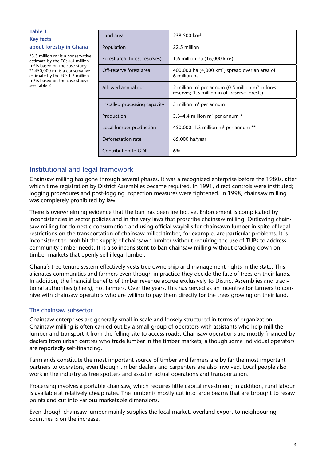#### **Table 1. Key facts about forestry in Ghana**

 $*3.3$  million m<sup>3</sup> is a conservative estimate by the FC; 4.4 million  $m<sup>3</sup>$  is based on the case study \*\*  $450,000$  m<sup>3</sup> is a conservative estimate by the FC; 1.3 million m<sup>3</sup> is based on the case study; see Table 2

| Land area                     | $238,500$ km <sup>2</sup>                                                                             |  |  |  |
|-------------------------------|-------------------------------------------------------------------------------------------------------|--|--|--|
| Population                    | 22.5 million                                                                                          |  |  |  |
| Forest area (forest reserves) | 1.6 million ha $(16,000 \text{ km}^2)$                                                                |  |  |  |
| Off-reserve forest area       | 400,000 ha $(4,000 \text{ km}^2)$ spread over an area of<br>6 million ha                              |  |  |  |
| Allowed annual cut            | 2 million $m3$ per annum (0.5 million $m3$ in forest<br>reserves; 1.5 million in off-reserve forests) |  |  |  |
| Installed processing capacity | 5 million $m3$ per annum                                                                              |  |  |  |
| Production                    | 3.3–4.4 million $m3$ per annum $*$                                                                    |  |  |  |
| Local lumber production       | 450,000–1.3 million $m^3$ per annum **                                                                |  |  |  |
| Deforestation rate            | 65,000 ha/year                                                                                        |  |  |  |
| Contribution to GDP           | 6%                                                                                                    |  |  |  |

# Institutional and legal framework

Chainsaw milling has gone through several phases. It was a recognized enterprise before the 1980s, after which time registration by District Assemblies became required. In 1991, direct controls were instituted; logging procedures and post-logging inspection measures were tightened. In 1998, chainsaw milling was completely prohibited by law.

There is overwhelming evidence that the ban has been ineffective. Enforcement is complicated by inconsistencies in sector policies and in the very laws that proscribe chainsaw milling. Outlawing chainsaw milling for domestic consumption and using official waybills for chainsawn lumber in spite of legal restrictions on the transportation of chainsaw milled timber, for example, are particular problems. It is inconsistent to prohibit the supply of chainsawn lumber without requiring the use of TUPs to address community timber needs. It is also inconsistent to ban chainsaw milling without cracking down on timber markets that openly sell illegal lumber.

Ghana's tree tenure system effectively vests tree ownership and management rights in the state. This alienates communities and farmers even though in practice they decide the fate of trees on their lands. In addition, the financial benefits of timber revenue accrue exclusively to District Assemblies and traditional authorities (chiefs), not farmers. Over the years, this has served as an incentive for farmers to connive with chainsaw operators who are willing to pay them directly for the trees growing on their land.

#### The chainsaw subsector

Chainsaw enterprises are generally small in scale and loosely structured in terms of organization. Chainsaw milling is often carried out by a small group of operators with assistants who help mill the lumber and transport it from the felling site to access roads. Chainsaw operations are mostly financed by dealers from urban centres who trade lumber in the timber markets, although some individual operators are reportedly self-financing.

Farmlands constitute the most important source of timber and farmers are by far the most important partners to operators, even though timber dealers and carpenters are also involved. Local people also work in the industry as tree spotters and assist in actual operations and transportation.

Processing involves a portable chainsaw, which requires little capital investment; in addition, rural labour is available at relatively cheap rates. The lumber is mostly cut into large beams that are brought to resaw points and cut into various marketable dimensions.

Even though chainsaw lumber mainly supplies the local market, overland export to neighbouring countries is on the increase.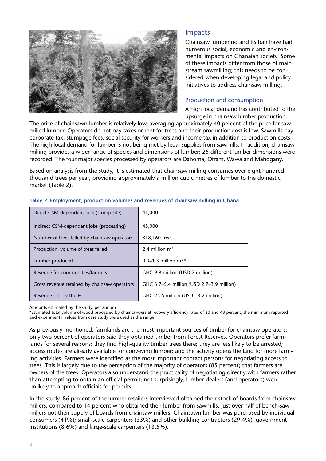

#### Impacts

Chainsaw lumbering and its ban have had numerous social, economic and environmental impacts on Ghanaian society. Some of these impacts differ from those of mainstream sawmilling; this needs to be considered when developing legal and policy initiatives to address chainsaw milling.

#### Production and consumption

A high local demand has contributed to the upsurge in chainsaw lumber production.

The price of chainsawn lumber is relatively low, averaging approximately 40 percent of the price for sawmilled lumber. Operators do not pay taxes or rent for trees and their production cost is low. Sawmills pay corporate tax, stumpage fees, social security for workers and income tax in addition to production costs. The high local demand for lumber is not being met by legal supplies from sawmills. In addition, chainsaw milling provides a wider range of species and dimensions of lumber: 25 different lumber dimensions were recorded. The four major species processed by operators are Dahoma, Ofram, Wawa and Mahogany.

Based on analysis from the study, it is estimated that chainsaw milling consumes over eight hundred thousand trees per year, providing approximately a million cubic metres of lumber to the domestic market (Table 2).

| Direct CSM-dependent jobs (stump site)       | 41,000                                    |  |  |
|----------------------------------------------|-------------------------------------------|--|--|
| Indirect CSM-dependent jobs (processing)     | 45,000                                    |  |  |
| Number of trees felled by chainsaw operators | 818,160 trees                             |  |  |
| Production: volume of trees felled           | 2.4 million $m^3$                         |  |  |
| Lumber produced                              | 0.9–1.3 million $m^3$ *                   |  |  |
| Revenue for communities/farmers              | GHC 9.8 million (USD 7 million)           |  |  |
| Gross revenue retained by chainsaw operators | GHC 3.7–5.4 million (USD 2.7–3.9 million) |  |  |
| Revenue lost by the FC                       | GHC 25.5 million (USD 18.2 million)       |  |  |

#### **Table 2. Employment, production volumes and revenues of chainsaw milling in Ghana**

Amounts estimated by the study, per annum

\*Estimated total volume of wood processed by chainsawyers at recovery efficiency rates of 30 and 43 percent, the minimum reported and experimental values from case study were used as the range

As previously mentioned, farmlands are the most important sources of timber for chainsaw operators; only two percent of operators said they obtained timber from Forest Reserves. Operators prefer farmlands for several reasons: they find high-quality timber trees there; they are less likely to be arrested; access routes are already available for conveying lumber; and the activity opens the land for more farming activities. Farmers were identified as the most important contact persons for negotiating access to trees. This is largely due to the perception of the majority of operators (85 percent) that farmers are owners of the trees. Operators also understand the practicality of negotiating directly with farmers rather than attempting to obtain an official permit; not surprisingly, lumber dealers (and operators) were unlikely to approach officials for permits.

In the study, 86 percent of the lumber retailers interviewed obtained their stock of boards from chainsaw millers, compared to 14 percent who obtained their lumber from sawmills. Just over half of bench-saw millers got their supply of boards from chainsaw millers. Chainsawn lumber was purchased by individual consumers (41%); small-scale carpenters (33%) and other building contractors (29.4%), government institutions (8.6%) and large-scale carpenters (13.5%).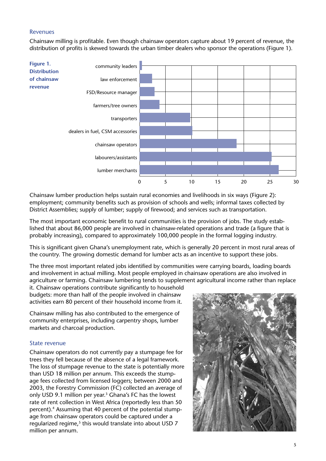#### Revenues

Chainsaw milling is profitable. Even though chainsaw operators capture about 19 percent of revenue, the distribution of profits is skewed towards the urban timber dealers who sponsor the operations (Figure 1).



Chainsaw lumber production helps sustain rural economies and livelihoods in six ways (Figure 2): employment; community benefits such as provision of schools and wells; informal taxes collected by District Assemblies; supply of lumber; supply of firewood; and services such as transportation.

The most important economic benefit to rural communities is the provision of jobs. The study established that about 86,000 people are involved in chainsaw-related operations and trade (a figure that is probably increasing), compared to approximately 100,000 people in the formal logging industry.

This is significant given Ghana's unemployment rate, which is generally 20 percent in most rural areas of the country. The growing domestic demand for lumber acts as an incentive to support these jobs.

The three most important related jobs identified by communities were carrying boards, loading boards and involvement in actual milling. Most people employed in chainsaw operations are also involved in agriculture or farming. Chainsaw lumbering tends to supplement agricultural income rather than replace

it. Chainsaw operations contribute significantly to household budgets: more than half of the people involved in chainsaw activities earn 80 percent of their household income from it.

Chainsaw milling has also contributed to the emergence of community enterprises, including carpentry shops, lumber markets and charcoal production.

#### State revenue

Chainsaw operators do not currently pay a stumpage fee for trees they fell because of the absence of a legal framework. The loss of stumpage revenue to the state is potentially more than USD 18 million per annum. This exceeds the stumpage fees collected from licensed loggers; between 2000 and 2003, the Forestry Commission (FC) collected an average of only USD 9.1 million per year.3 Ghana's FC has the lowest rate of rent collection in West Africa (reportedly less than 50 percent).4 Assuming that 40 percent of the potential stumpage from chainsaw operators could be captured under a regularized regime,<sup>5</sup> this would translate into about USD 7 million per annum.

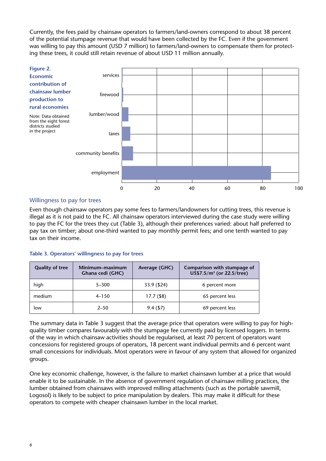Currently, the fees paid by chainsaw operators to farmers/land-owners correspond to about 38 percent of the potential stumpage revenue that would have been collected by the FC. Even if the government was willing to pay this amount (USD 7 million) to farmers/land-owners to compensate them for protecting these trees, it could still retain revenue of about USD 11 million annually.



#### Willingness to pay for trees

Even though chainsaw operators pay some fees to farmers/landowners for cutting trees, this revenue is illegal as it is not paid to the FC. All chainsaw operators interviewed during the case study were willing to pay the FC for the trees they cut (Table 3), although their preferences varied: about half preferred to pay tax on timber; about one-third wanted to pay monthly permit fees; and one tenth wanted to pay tax on their income.

#### **Table 3. Operators' willingness to pay for trees**

| <b>Quality of tree</b> | Minimum-maximum<br>Ghana cedi (GHC) | Average (GHC) | Comparison with stumpage of<br>US\$7.5/m <sup>3</sup> (or 22.5/tree) |  |
|------------------------|-------------------------------------|---------------|----------------------------------------------------------------------|--|
| high                   | $5 - 300$                           | 33.9 (\$24)   | 6 percent more                                                       |  |
| medium                 | $4 - 150$                           | $17.7($ \$8)  | 65 percent less                                                      |  |
| low                    | $2 - 50$                            | $9.4($ \$7)   | 69 percent less                                                      |  |

The summary data in Table 3 suggest that the average price that operators were willing to pay for highquality timber compares favourably with the stumpage fee currently paid by licensed loggers. In terms of the way in which chainsaw activities should be regularised, at least 70 percent of operators want concessions for registered groups of operators, 18 percent want individual permits and 6 percent want small concessions for individuals. Most operators were in favour of any system that allowed for organized groups.

One key economic challenge, however, is the failure to market chainsawn lumber at a price that would enable it to be sustainable. In the absence of government regulation of chainsaw milling practices, the lumber obtained from chainsaws with improved milling attachments (such as the portable sawmill, Logosol) is likely to be subject to price manipulation by dealers. This may make it difficult for these operators to compete with cheaper chainsawn lumber in the local market.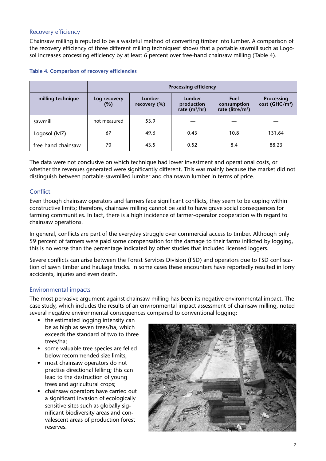#### Recovery efficiency

Chainsaw milling is reputed to be a wasteful method of converting timber into lumber. A comparison of the recovery efficiency of three different milling techniques<sup>6</sup> shows that a portable sawmill such as Logosol increases processing efficiency by at least 6 percent over free-hand chainsaw milling (Table 4).

|                    | <b>Processing efficiency</b> |                        |                                                |                                                            |                                                 |  |  |
|--------------------|------------------------------|------------------------|------------------------------------------------|------------------------------------------------------------|-------------------------------------------------|--|--|
| milling technique  | Log recovery<br>(%)          | Lumber<br>recovery (%) | <b>Lumber</b><br>production<br>rate $(m^3/hr)$ | <b>Fuel</b><br>consumption<br>rate (litre/m <sup>3</sup> ) | <b>Processing</b><br>cost (GHC/m <sup>3</sup> ) |  |  |
| sawmill            | not measured                 | 53.9                   |                                                |                                                            |                                                 |  |  |
| Logosol (M7)       | 67                           | 49.6                   | 0.43                                           | 10.8                                                       | 131.64                                          |  |  |
| free-hand chainsaw | 70                           | 43.5                   | 0.52                                           | 8.4                                                        | 88.23                                           |  |  |

#### **Table 4. Comparison of recovery efficiencies**

The data were not conclusive on which technique had lower investment and operational costs, or whether the revenues generated were significantly different. This was mainly because the market did not distinguish between portable-sawmilled lumber and chainsawn lumber in terms of price.

#### **Conflict**

Even though chainsaw operators and farmers face significant conflicts, they seem to be coping within constructive limits; therefore, chainsaw milling cannot be said to have grave social consequences for farming communities. In fact, there is a high incidence of farmer-operator cooperation with regard to chainsaw operations.

In general, conflicts are part of the everyday struggle over commercial access to timber. Although only 59 percent of farmers were paid some compensation for the damage to their farms inflicted by logging, this is no worse than the percentage indicated by other studies that included licensed loggers.

Severe conflicts can arise between the Forest Services Division (FSD) and operators due to FSD confiscation of sawn timber and haulage trucks. In some cases these encounters have reportedly resulted in lorry accidents, injuries and even death.

#### Environmental impacts

The most pervasive argument against chainsaw milling has been its negative environmental impact. The case study, which includes the results of an environmental impact assessment of chainsaw milling, noted several negative environmental consequences compared to conventional logging:

- the estimated logging intensity can be as high as seven trees/ha, which exceeds the standard of two to three trees/ha;
- some valuable tree species are felled below recommended size limits;
- most chainsaw operators do not practise directional felling; this can lead to the destruction of young trees and agricultural crops;
- chainsaw operators have carried out a significant invasion of ecologically sensitive sites such as globally significant biodiversity areas and convalescent areas of production forest reserves.

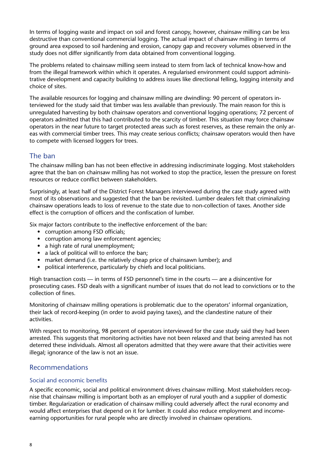In terms of logging waste and impact on soil and forest canopy, however, chainsaw milling can be less destructive than conventional commercial logging. The actual impact of chainsaw milling in terms of ground area exposed to soil hardening and erosion, canopy gap and recovery volumes observed in the study does not differ significantly from data obtained from conventional logging.

The problems related to chainsaw milling seem instead to stem from lack of technical know-how and from the illegal framework within which it operates. A regularised environment could support administrative development and capacity building to address issues like directional felling, logging intensity and choice of sites.

The available resources for logging and chainsaw milling are dwindling: 90 percent of operators interviewed for the study said that timber was less available than previously. The main reason for this is unregulated harvesting by both chainsaw operators and conventional logging operations; 72 percent of operators admitted that this had contributed to the scarcity of timber. This situation may force chainsaw operators in the near future to target protected areas such as forest reserves, as these remain the only areas with commercial timber trees. This may create serious conflicts; chainsaw operators would then have to compete with licensed loggers for trees.

### The ban

The chainsaw milling ban has not been effective in addressing indiscriminate logging. Most stakeholders agree that the ban on chainsaw milling has not worked to stop the practice, lessen the pressure on forest resources or reduce conflict between stakeholders.

Surprisingly, at least half of the District Forest Managers interviewed during the case study agreed with most of its observations and suggested that the ban be revisited. Lumber dealers felt that criminalizing chainsaw operations leads to loss of revenue to the state due to non-collection of taxes. Another side effect is the corruption of officers and the confiscation of lumber.

Six major factors contribute to the ineffective enforcement of the ban:

- corruption among FSD officials;
- corruption among law enforcement agencies;
- a high rate of rural unemployment;
- a lack of political will to enforce the ban;
- market demand (i.e. the relatively cheap price of chainsawn lumber); and
- political interference, particularly by chiefs and local politicians.

High transaction costs — in terms of FSD personnel's time in the courts — are a disincentive for prosecuting cases. FSD deals with a significant number of issues that do not lead to convictions or to the collection of fines.

Monitoring of chainsaw milling operations is problematic due to the operators' informal organization, their lack of record-keeping (in order to avoid paying taxes), and the clandestine nature of their activities.

With respect to monitoring, 98 percent of operators interviewed for the case study said they had been arrested. This suggests that monitoring activities have not been relaxed and that being arrested has not deterred these individuals. Almost all operators admitted that they were aware that their activities were illegal; ignorance of the law is not an issue.

#### Recommendations

#### Social and economic benefits

A specific economic, social and political environment drives chainsaw milling. Most stakeholders recognise that chainsaw milling is important both as an employer of rural youth and a supplier of domestic timber. Regularization or eradication of chainsaw milling could adversely affect the rural economy and would affect enterprises that depend on it for lumber. It could also reduce employment and incomeearning opportunities for rural people who are directly involved in chainsaw operations.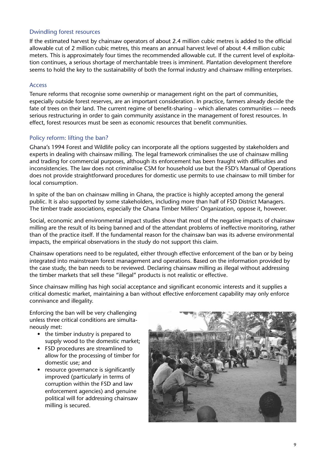#### Dwindling forest resources

If the estimated harvest by chainsaw operators of about 2.4 million cubic metres is added to the official allowable cut of 2 million cubic metres, this means an annual harvest level of about 4.4 million cubic meters. This is approximately four times the recommended allowable cut. If the current level of exploitation continues, a serious shortage of merchantable trees is imminent. Plantation development therefore seems to hold the key to the sustainability of both the formal industry and chainsaw milling enterprises.

#### Access

Tenure reforms that recognise some ownership or management right on the part of communities, especially outside forest reserves, are an important consideration. In practice, farmers already decide the fate of trees on their land. The current regime of benefit-sharing – which alienates communities — needs serious restructuring in order to gain community assistance in the management of forest resources. In effect, forest resources must be seen as economic resources that benefit communities.

#### Policy reform: lifting the ban?

Ghana's 1994 Forest and Wildlife policy can incorporate all the options suggested by stakeholders and experts in dealing with chainsaw milling. The legal framework criminalises the use of chainsaw milling and trading for commercial purposes, although its enforcement has been fraught with difficulties and inconsistencies. The law does not criminalise CSM for household use but the FSD's Manual of Operations does not provide straightforward procedures for domestic use permits to use chainsaw to mill timber for local consumption.

In spite of the ban on chainsaw milling in Ghana, the practice is highly accepted among the general public. It is also supported by some stakeholders, including more than half of FSD District Managers. The timber trade associations, especially the Ghana Timber Millers' Organization, oppose it, however.

Social, economic and environmental impact studies show that most of the negative impacts of chainsaw milling are the result of its being banned and of the attendant problems of ineffective monitoring, rather than of the practice itself. If the fundamental reason for the chainsaw ban was its adverse environmental impacts, the empirical observations in the study do not support this claim.

Chainsaw operations need to be regulated, either through effective enforcement of the ban or by being integrated into mainstream forest management and operations. Based on the information provided by the case study, the ban needs to be reviewed. Declaring chainsaw milling as illegal without addressing the timber markets that sell these "illegal" products is not realistic or effective.

Since chainsaw milling has high social acceptance and significant economic interests and it supplies a critical domestic market, maintaining a ban without effective enforcement capability may only enforce connivance and illegality.

Enforcing the ban will be very challenging unless three critical conditions are simultaneously met:

- the timber industry is prepared to supply wood to the domestic market;
- • FSD procedures are streamlined to allow for the processing of timber for domestic use; and
- resource governance is significantly improved (particularly in terms of corruption within the FSD and law enforcement agencies) and genuine political will for addressing chainsaw milling is secured.

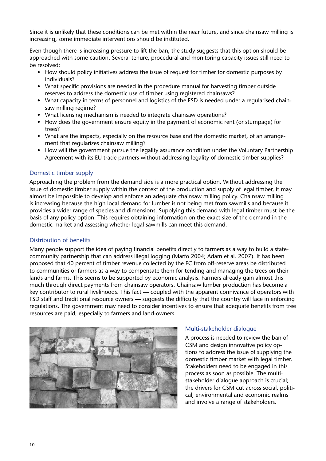Since it is unlikely that these conditions can be met within the near future, and since chainsaw milling is increasing, some immediate interventions should be instituted.

Even though there is increasing pressure to lift the ban, the study suggests that this option should be approached with some caution. Several tenure, procedural and monitoring capacity issues still need to be resolved:

- How should policy initiatives address the issue of request for timber for domestic purposes by individuals?
- What specific provisions are needed in the procedure manual for harvesting timber outside reserves to address the domestic use of timber using registered chainsaws?
- What capacity in terms of personnel and logistics of the FSD is needed under a regularised chainsaw milling regime?
- What licensing mechanism is needed to integrate chainsaw operations?
- How does the government ensure equity in the payment of economic rent (or stumpage) for trees?
- What are the impacts, especially on the resource base and the domestic market, of an arrangement that regularizes chainsaw milling?
- How will the government pursue the legality assurance condition under the Voluntary Partnership Agreement with its EU trade partners without addressing legality of domestic timber supplies?

#### Domestic timber supply

Approaching the problem from the demand side is a more practical option. Without addressing the issue of domestic timber supply within the context of the production and supply of legal timber, it may almost be impossible to develop and enforce an adequate chainsaw milling policy. Chainsaw milling is increasing because the high local demand for lumber is not being met from sawmills and because it provides a wider range of species and dimensions. Supplying this demand with legal timber must be the basis of any policy option. This requires obtaining information on the exact size of the demand in the domestic market and assessing whether legal sawmills can meet this demand.

#### Distribution of benefits

Many people support the idea of paying financial benefits directly to farmers as a way to build a statecommunity partnership that can address illegal logging (Marfo 2004; Adam et al. 2007). It has been proposed that 40 percent of timber revenue collected by the FC from off-reserve areas be distributed to communities or farmers as a way to compensate them for tending and managing the trees on their lands and farms. This seems to be supported by economic analysis. Farmers already gain almost this much through direct payments from chainsaw operators. Chainsaw lumber production has become a key contributor to rural livelihoods. This fact — coupled with the apparent connivance of operators with FSD staff and traditional resource owners — suggests the difficulty that the country will face in enforcing regulations. The government may need to consider incentives to ensure that adequate benefits from tree resources are paid, especially to farmers and land-owners.



#### Multi-stakeholder dialogue

A process is needed to review the ban of CSM and design innovative policy options to address the issue of supplying the domestic timber market with legal timber. Stakeholders need to be engaged in this process as soon as possible. The multistakeholder dialogue approach is crucial; the drivers for CSM cut across social, political, environmental and economic realms and involve a range of stakeholders.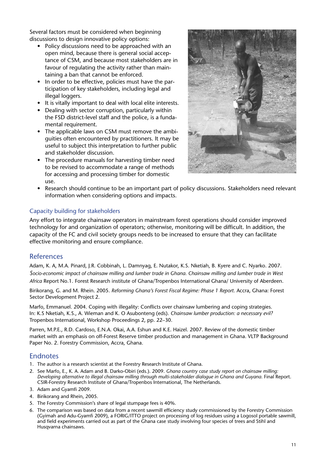Several factors must be considered when beginning discussions to design innovative policy options:

- Policy discussions need to be approached with an open mind, because there is general social acceptance of CSM, and because most stakeholders are in favour of regulating the activity rather than maintaining a ban that cannot be enforced.
- In order to be effective, policies must have the participation of key stakeholders, including legal and illegal loggers.
- It is vitally important to deal with local elite interests.
- Dealing with sector corruption, particularly within the FSD district-level staff and the police, is a fundamental requirement.
- The applicable laws on CSM must remove the ambiguities often encountered by practitioners. It may be useful to subject this interpretation to further public and stakeholder discussion.
- The procedure manuals for harvesting timber need to be revised to accommodate a range of methods for accessing and processing timber for domestic use.



Research should continue to be an important part of policy discussions. Stakeholders need relevant information when considering options and impacts.

#### Capacity building for stakeholders

Any effort to integrate chainsaw operators in mainstream forest operations should consider improved technology for and organization of operators; otherwise, monitoring will be difficult. In addition, the capacity of the FC and civil society groups needs to be increased to ensure that they can facilitate effective monitoring and ensure compliance.

#### References

Adam, K. A, M.A. Pinard, J.R. Cobbinah, L. Damnyag, E. Nutakor, K.S. Nketiah, B. Kyere and C. Nyarko. 2007. *Socio-economic impact of chainsaw milling and lumber trade in Ghana. Chainsaw milling and lumber trade in West Africa* Report No.1. Forest Research institute of Ghana/Tropenbos International Ghana/ University of Aberdeen.

Birikorang, G. and M. Rhein. 2005. *Reforming Ghana's Forest Fiscal Regime: Phase 1 Report.* Accra, Ghana: Forest Sector Development Project 2.

Marfo, Emmanuel. 2004. Coping with illegality: Conflicts over chainsaw lumbering and coping strategies. In: K.S Nketiah, K.S., A. Wieman and K. O Asubonteng (eds). *Chainsaw lumber production: a necessary evil?*  Tropenbos International, Workshop Proceedings 2, pp. 22–30.

Parren, M.P.E., R.D. Cardoso, E.N.A. Okai, A.A. Eshun and K.E. Haizel. 2007. Review of the domestic timber market with an emphasis on off-Forest Reserve timber production and management in Ghana. VLTP Background Paper No. 2. Forestry Commission, Accra, Ghana.

#### Endnotes

- 1. The author is a research scientist at the Forestry Research Institute of Ghana.
- 2. See Marfo, E., K. A. Adam and B. Darko-Obiri (eds.). 2009. *Ghana country case study report on chainsaw milling: Developing alternative to illegal chainsaw milling through multi-stakeholder dialogue in Ghana and Guyana.* Final Report. CSIR-Forestry Research Institute of Ghana/Tropenbos International, The Netherlands.
- 3. Adam and Gyamfi 2009.
- 4. Birikorang and Rhein, 2005.
- 5. The Forestry Commission's share of legal stumpage fees is 40%.
- 6. The comparison was based on data from a recent sawmill efficiency study commissioned by the Forestry Commission (Gyimah and Adu-Gyamfi 2009), a FORIG/ITTO project on processing of log residues using a Logosol portable sawmill, and field experiments carried out as part of the Ghana case study involving four species of trees and Stihl and Husqvarna chainsaws.